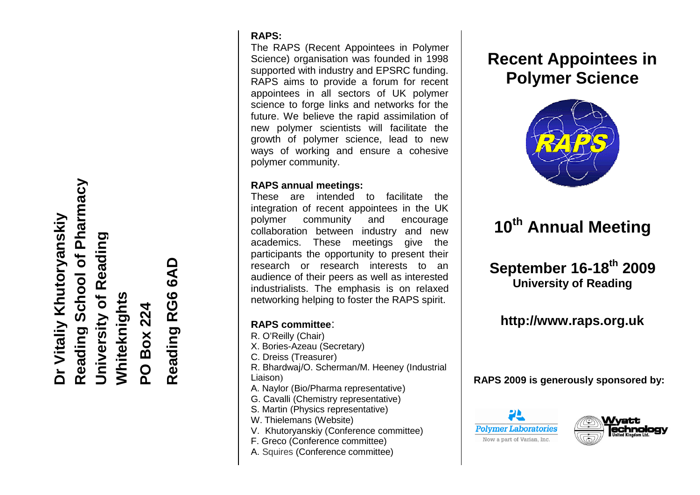School of Pharmacy **Reading School of Pharmacy** Dr Vitaliy Khutoryanskiy **Dr Vitaliy Khutoryanskiy** Reading **University of Reading Reading RG6 6AD** Reading RG6 6AD University of **Whiteknights PO Box 224** Reading

### **RAPS:**

The RAPS ( Recent Appointees in Polymer S Science) organisation was founded in 1998 supported with industry and EPSRC funding. RAPS aims to provide a forum for recent appointees in all sectors of UK polymer science to forge links and networks for the future. We believe the rapid assimilation of new polymer scientists will facilitate the growth of polymer science, lead to new ways of working and ensure a cohesive polymer community. vith industry and EPSRC funding.<br>
is to provide a forum for recent<br>
in all sectors of UK polymer<br>
forge links and networks for the<br>
believe the rapid assimilation of<br>
er scientists will facilitate the<br>
polymer science, lea

## **RAPS annual meetings:**

These are intended to facilitate the integration of recent appointees in the UK polymer community and encourage collaboration between industry and new academics. These meetings give the participants the opportunity to present their research or research interests to an audience of their peers as well as interested industrialists. The emphasis is on relaxed networking helping to foster the RAPS spirit. These are intended to facilitate the<br>integration of recent appointees in the UK<br>polymer community and encourage<br>collaboration between industry and new<br>academics. These meetings give the<br>participants the opportunity to pres

## **RAPS committee** :

- R. O'Reilly (Chair )
- X X. Bories -Azeau (Secretary)
- C. Dreiss (Treasurer )
- R. Bhardwaj Bhardwaj /O. Scherman/M. Heeney (Industrial Liaison )
- A. Naylor ( (Bio/Pharma representative )
- G. G. Cavalli (Chemistry representative )
- S. Martin (Physics representative )
- W. Thielemans (Website )
- V. Khutoryanskiy (Conference committee )
- F. Greco (Conference committee)
- A. Squires (Conference committee)

# **Recent Appointees in Polymer Science**



# **10 10th Annual Meeting**

# **September 16-18<sup>th</sup> 2009 University of Reading**

## **http://www.raps.org.uk**

**RAPS 200 9 is generously sponsored by:**